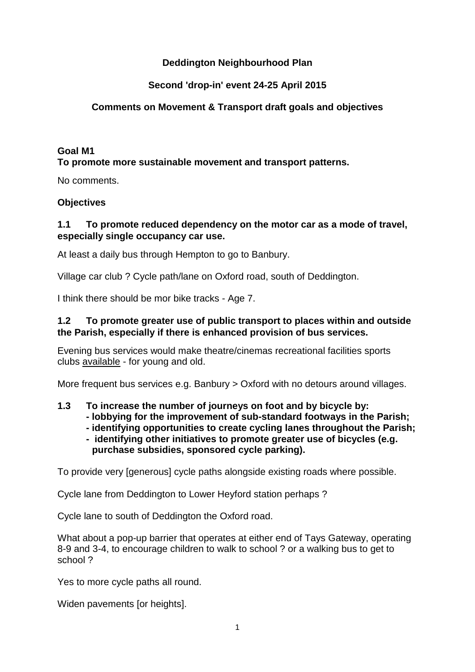# **Deddington Neighbourhood Plan**

# **Second 'drop-in' event 24-25 April 2015**

# **Comments on Movement & Transport draft goals and objectives**

## **Goal M1 To promote more sustainable movement and transport patterns.**

No comments.

# **Objectives**

# **1.1 To promote reduced dependency on the motor car as a mode of travel, especially single occupancy car use.**

At least a daily bus through Hempton to go to Banbury.

Village car club ? Cycle path/lane on Oxford road, south of Deddington.

I think there should be mor bike tracks - Age 7.

# **1.2 To promote greater use of public transport to places within and outside the Parish, especially if there is enhanced provision of bus services.**

Evening bus services would make theatre/cinemas recreational facilities sports clubs available - for young and old.

More frequent bus services e.g. Banbury > Oxford with no detours around villages.

# **1.3 To increase the number of journeys on foot and by bicycle by:**

- **- lobbying for the improvement of sub-standard footways in the Parish;**
- **- identifying opportunities to create cycling lanes throughout the Parish;**
- **- identifying other initiatives to promote greater use of bicycles (e.g. purchase subsidies, sponsored cycle parking).**

To provide very [generous] cycle paths alongside existing roads where possible.

Cycle lane from Deddington to Lower Heyford station perhaps ?

Cycle lane to south of Deddington the Oxford road.

What about a pop-up barrier that operates at either end of Tays Gateway, operating 8-9 and 3-4, to encourage children to walk to school ? or a walking bus to get to school ?

Yes to more cycle paths all round.

Widen pavements [or heights].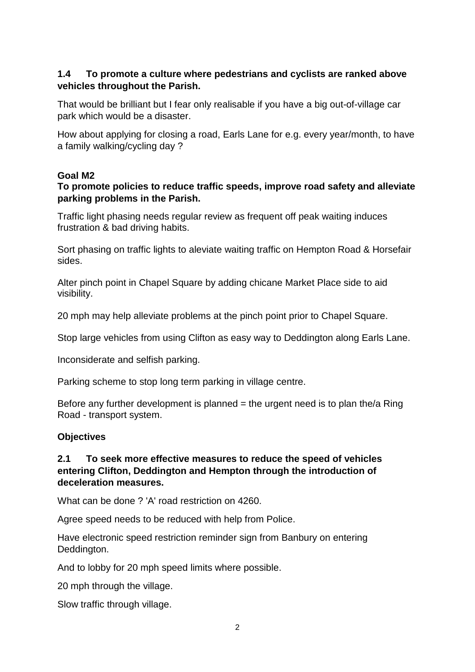# **1.4 To promote a culture where pedestrians and cyclists are ranked above vehicles throughout the Parish.**

That would be brilliant but I fear only realisable if you have a big out-of-village car park which would be a disaster.

How about applying for closing a road, Earls Lane for e.g. every year/month, to have a family walking/cycling day ?

#### **Goal M2**

#### **To promote policies to reduce traffic speeds, improve road safety and alleviate parking problems in the Parish.**

Traffic light phasing needs regular review as frequent off peak waiting induces frustration & bad driving habits.

Sort phasing on traffic lights to aleviate waiting traffic on Hempton Road & Horsefair sides.

Alter pinch point in Chapel Square by adding chicane Market Place side to aid visibility.

20 mph may help alleviate problems at the pinch point prior to Chapel Square.

Stop large vehicles from using Clifton as easy way to Deddington along Earls Lane.

Inconsiderate and selfish parking.

Parking scheme to stop long term parking in village centre.

Before any further development is planned  $=$  the urgent need is to plan the/a Ring Road - transport system.

#### **Objectives**

#### **2.1 To seek more effective measures to reduce the speed of vehicles entering Clifton, Deddington and Hempton through the introduction of deceleration measures.**

What can be done ? 'A' road restriction on 4260.

Agree speed needs to be reduced with help from Police.

Have electronic speed restriction reminder sign from Banbury on entering Deddington.

And to lobby for 20 mph speed limits where possible.

20 mph through the village.

Slow traffic through village.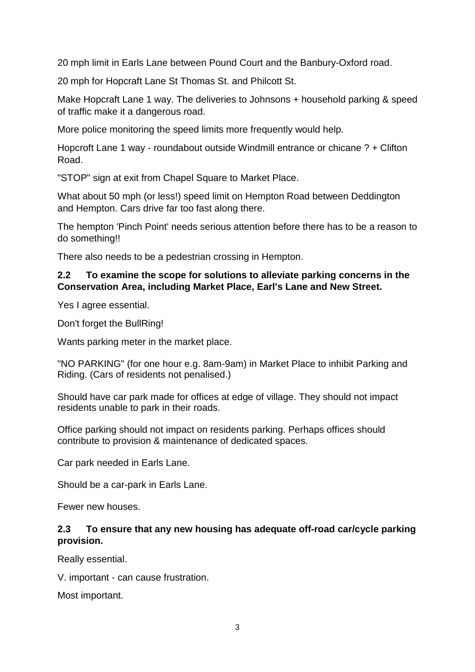20 mph limit in Earls Lane between Pound Court and the Banbury-Oxford road.

20 mph for Hopcraft Lane St Thomas St. and Philcott St.

Make Hopcraft Lane 1 way. The deliveries to Johnsons + household parking & speed of traffic make it a dangerous road.

More police monitoring the speed limits more frequently would help.

Hopcroft Lane 1 way - roundabout outside Windmill entrance or chicane ? + Clifton Road.

"STOP" sign at exit from Chapel Square to Market Place.

What about 50 mph (or less!) speed limit on Hempton Road between Deddington and Hempton. Cars drive far too fast along there.

The hempton 'Pinch Point' needs serious attention before there has to be a reason to do something!!

There also needs to be a pedestrian crossing in Hempton.

# **2.2 To examine the scope for solutions to alleviate parking concerns in the Conservation Area, including Market Place, Earl's Lane and New Street.**

Yes I agree essential.

Don't forget the BullRing!

Wants parking meter in the market place.

"NO PARKING" (for one hour e.g. 8am-9am) in Market Place to inhibit Parking and Riding. (Cars of residents not penalised.)

Should have car park made for offices at edge of village. They should not impact residents unable to park in their roads.

Office parking should not impact on residents parking. Perhaps offices should contribute to provision & maintenance of dedicated spaces.

Car park needed in Earls Lane.

Should be a car-park in Earls Lane.

Fewer new houses.

# **2.3 To ensure that any new housing has adequate off-road car/cycle parking provision.**

Really essential.

V. important - can cause frustration.

Most important.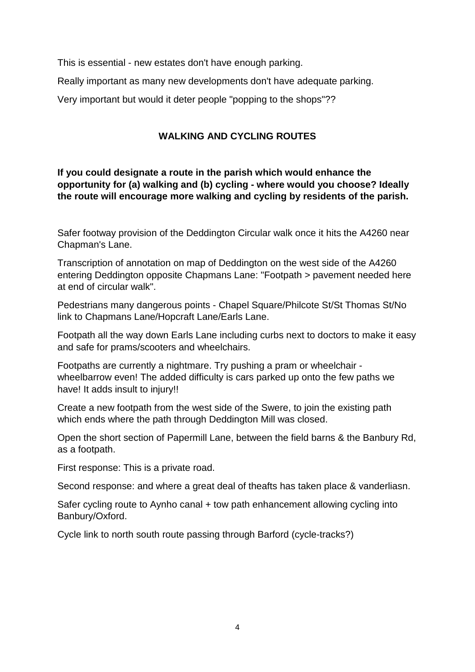This is essential - new estates don't have enough parking.

Really important as many new developments don't have adequate parking.

Very important but would it deter people "popping to the shops"??

# **WALKING AND CYCLING ROUTES**

**If you could designate a route in the parish which would enhance the opportunity for (a) walking and (b) cycling - where would you choose? Ideally the route will encourage more walking and cycling by residents of the parish.**

Safer footway provision of the Deddington Circular walk once it hits the A4260 near Chapman's Lane.

Transcription of annotation on map of Deddington on the west side of the A4260 entering Deddington opposite Chapmans Lane: "Footpath > pavement needed here at end of circular walk".

Pedestrians many dangerous points - Chapel Square/Philcote St/St Thomas St/No link to Chapmans Lane/Hopcraft Lane/Earls Lane.

Footpath all the way down Earls Lane including curbs next to doctors to make it easy and safe for prams/scooters and wheelchairs.

Footpaths are currently a nightmare. Try pushing a pram or wheelchair wheelbarrow even! The added difficulty is cars parked up onto the few paths we have! It adds insult to injury!!

Create a new footpath from the west side of the Swere, to join the existing path which ends where the path through Deddington Mill was closed.

Open the short section of Papermill Lane, between the field barns & the Banbury Rd, as a footpath.

First response: This is a private road.

Second response: and where a great deal of theafts has taken place & vanderliasn.

Safer cycling route to Aynho canal + tow path enhancement allowing cycling into Banbury/Oxford.

Cycle link to north south route passing through Barford (cycle-tracks?)